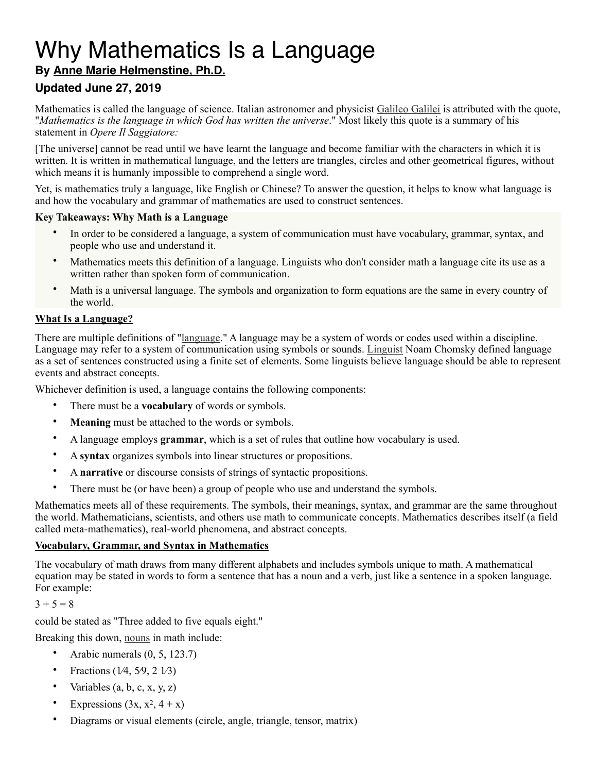# Why Mathematics Is a Language

# **By [Anne Marie Helmenstine, Ph.D.](https://www.thoughtco.com/anne-marie-helmenstine-ph-d-601916)**

# **Updated June 27, 2019**

Mathematics is called the language of science. Italian astronomer and physicist [Galileo Galilei](https://www.thoughtco.com/galileo-galilei-biography-1991864) is attributed with the quote, "*Mathematics is the language in which God has written the universe*." Most likely this quote is a summary of his statement in *Opere Il Saggiatore:*

[The universe] cannot be read until we have learnt the language and become familiar with the characters in which it is written. It is written in mathematical language, and the letters are triangles, circles and other geometrical figures, without which means it is humanly impossible to comprehend a single word.

Yet, is mathematics truly a language, like English or Chinese? To answer the question, it helps to know what language is and how the vocabulary and grammar of mathematics are used to construct sentences.

#### **Key Takeaways: Why Math is a Language**

- In order to be considered a language, a system of communication must have vocabulary, grammar, syntax, and people who use and understand it.
- Mathematics meets this definition of a language. Linguists who don't consider math a language cite its use as a written rather than spoken form of communication.
- Math is a universal language. The symbols and organization to form equations are the same in every country of the world.

#### **What Is a Language?**

There are multiple definitions of ["language.](https://www.thoughtco.com/what-is-a-language-1691218)" A language may be a system of words or codes used within a discipline. Language may refer to a system of communication using symbols or sounds. [Linguist](https://www.thoughtco.com/what-is-a-linguist-1691239) Noam Chomsky defined language as a set of sentences constructed using a finite set of elements. Some linguists believe language should be able to represent events and abstract concepts.

Whichever definition is used, a language contains the following components:

- There must be a **vocabulary** of words or symbols.
- **Meaning** must be attached to the words or symbols.
- A language employs **grammar**, which is a set of rules that outline how vocabulary is used.
- A **syntax** organizes symbols into linear structures or propositions.
- A **narrative** or discourse consists of strings of syntactic propositions.
- There must be (or have been) a group of people who use and understand the symbols.

Mathematics meets all of these requirements. The symbols, their meanings, syntax, and grammar are the same throughout the world. Mathematicians, scientists, and others use math to communicate concepts. Mathematics describes itself (a field called meta-mathematics), real-world phenomena, and abstract concepts.

#### **Vocabulary, Grammar, and Syntax in Mathematics**

The vocabulary of math draws from many different alphabets and includes symbols unique to math. A mathematical equation may be stated in words to form a sentence that has a noun and a verb, just like a sentence in a spoken language. For example:

#### $3 + 5 = 8$

could be stated as "Three added to five equals eight."

Breaking this down, [nouns](https://www.thoughtco.com/what-is-concrete-noun-1689904) in math include:

- Arabic numerals (0, 5, 123.7)
- Fractions (1⁄4, 5⁄9, 2 1⁄3)
- Variables  $(a, b, c, x, y, z)$
- Expressions  $(3x, x^2, 4 + x)$
- Diagrams or visual elements (circle, angle, triangle, tensor, matrix)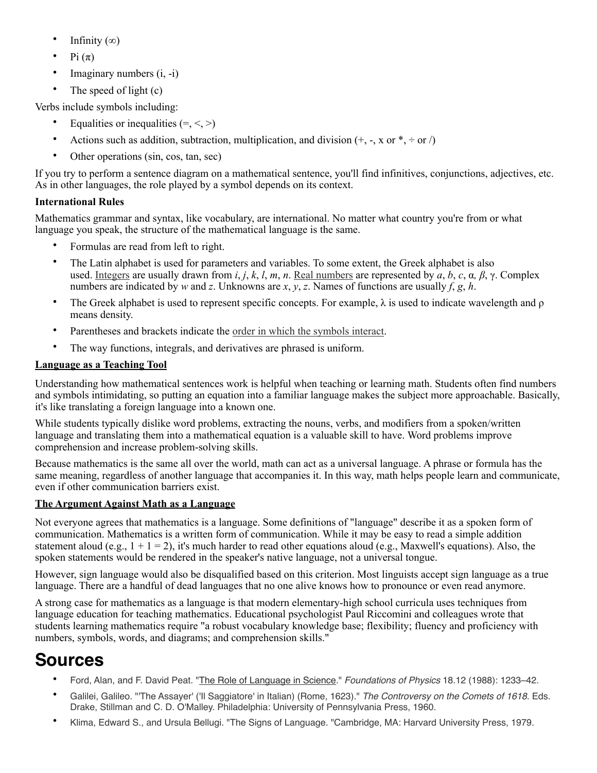- Infinity  $(∞)$
- Pi  $(\pi)$
- Imaginary numbers (i, -i)
- The speed of light  $(c)$

Verbs include symbols including:

- Equalities or inequalities  $(=, <, >)$
- Actions such as addition, subtraction, multiplication, and division  $(+, -, x \text{ or } *, \div \text{ or } /)$
- Other operations (sin, cos, tan, sec)

If you try to perform a sentence diagram on a mathematical sentence, you'll find infinitives, conjunctions, adjectives, etc. As in other languages, the role played by a symbol depends on its context.

### **International Rules**

Mathematics grammar and syntax, like vocabulary, are international. No matter what country you're from or what language you speak, the structure of the mathematical language is the same.

- Formulas are read from left to right.
- The Latin alphabet is used for parameters and variables. To some extent, the Greek alphabet is also used. [Integers](https://www.thoughtco.com/understanding-classification-of-numbers-2312407) are usually drawn from *i*, *j*, *k*, *l*, *m*, *n*. [Real numbers](https://www.thoughtco.com/what-is-a-real-number-3126307) are represented by *a*, *b*, *c*, α*, β*, γ. Complex numbers are indicated by *w* and *z*. Unknowns are *x*, *y*, *z*. Names of functions are usually *f*, *g*, *h*.
- The Greek alphabet is used to represent specific concepts. For example,  $\lambda$  is used to indicate wavelength and  $\rho$ means density.
- Parentheses and brackets indicate the [order in which the symbols interact.](https://www.thoughtco.com/definition-of-bedmas-2312372)
- The way functions, integrals, and derivatives are phrased is uniform.

# **Language as a Teaching Tool**

Understanding how mathematical sentences work is helpful when teaching or learning math. Students often find numbers and symbols intimidating, so putting an equation into a familiar language makes the subject more approachable. Basically, it's like translating a foreign language into a known one.

While students typically dislike word problems, extracting the nouns, verbs, and modifiers from a spoken/written language and translating them into a mathematical equation is a valuable skill to have. Word problems improve comprehension and increase problem-solving skills.

Because mathematics is the same all over the world, math can act as a universal language. A phrase or formula has the same meaning, regardless of another language that accompanies it. In this way, math helps people learn and communicate, even if other communication barriers exist.

## **The Argument Against Math as a Language**

Not everyone agrees that mathematics is a language. Some definitions of "language" describe it as a spoken form of communication. Mathematics is a written form of communication. While it may be easy to read a simple addition statement aloud (e.g.,  $1 + 1 = 2$ ), it's much harder to read other equations aloud (e.g., Maxwell's equations). Also, the spoken statements would be rendered in the speaker's native language, not a universal tongue.

However, sign language would also be disqualified based on this criterion. Most linguists accept sign language as a true language. There are a handful of dead languages that no one alive knows how to pronounce or even read anymore.

A strong case for mathematics as a language is that modern elementary-high school curricula uses techniques from language education for teaching mathematics. Educational psychologist Paul Riccomini and colleagues wrote that students learning mathematics require "a robust vocabulary knowledge base; flexibility; fluency and proficiency with numbers, symbols, words, and diagrams; and comprehension skills."

# **Sources**

- Ford, Alan, and F. David Peat. ["The Role of Language in Science.](https://doi.org/10.1007/BF01889434)" *Foundations of Physics* 18.12 (1988): 1233–42.
- Galilei, Galileo. "'The Assayer' ('Il Saggiatore' in Italian) (Rome, 1623)." *The Controversy on the Comets of 1618*. Eds. Drake, Stillman and C. D. O'Malley. Philadelphia: University of Pennsylvania Press, 1960.
- Klima, Edward S., and Ursula Bellugi. "The Signs of Language. "Cambridge, MA: Harvard University Press, 1979.